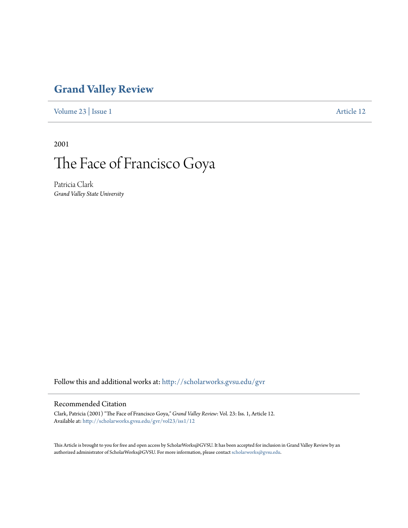## **[Grand Valley Review](http://scholarworks.gvsu.edu/gvr?utm_source=scholarworks.gvsu.edu%2Fgvr%2Fvol23%2Fiss1%2F12&utm_medium=PDF&utm_campaign=PDFCoverPages)**

[Volume 23](http://scholarworks.gvsu.edu/gvr/vol23?utm_source=scholarworks.gvsu.edu%2Fgvr%2Fvol23%2Fiss1%2F12&utm_medium=PDF&utm_campaign=PDFCoverPages) | [Issue 1](http://scholarworks.gvsu.edu/gvr/vol23/iss1?utm_source=scholarworks.gvsu.edu%2Fgvr%2Fvol23%2Fiss1%2F12&utm_medium=PDF&utm_campaign=PDFCoverPages) [Article 12](http://scholarworks.gvsu.edu/gvr/vol23/iss1/12?utm_source=scholarworks.gvsu.edu%2Fgvr%2Fvol23%2Fiss1%2F12&utm_medium=PDF&utm_campaign=PDFCoverPages)

2001

## The Face of Francisco Goya

Patricia Clark *Grand Valley State University*

Follow this and additional works at: [http://scholarworks.gvsu.edu/gvr](http://scholarworks.gvsu.edu/gvr?utm_source=scholarworks.gvsu.edu%2Fgvr%2Fvol23%2Fiss1%2F12&utm_medium=PDF&utm_campaign=PDFCoverPages)

## Recommended Citation

Clark, Patricia (2001) "The Face of Francisco Goya," *Grand Valley Review*: Vol. 23: Iss. 1, Article 12. Available at: [http://scholarworks.gvsu.edu/gvr/vol23/iss1/12](http://scholarworks.gvsu.edu/gvr/vol23/iss1/12?utm_source=scholarworks.gvsu.edu%2Fgvr%2Fvol23%2Fiss1%2F12&utm_medium=PDF&utm_campaign=PDFCoverPages)

This Article is brought to you for free and open access by ScholarWorks@GVSU. It has been accepted for inclusion in Grand Valley Review by an authorized administrator of ScholarWorks@GVSU. For more information, please contact [scholarworks@gvsu.edu.](mailto:scholarworks@gvsu.edu)